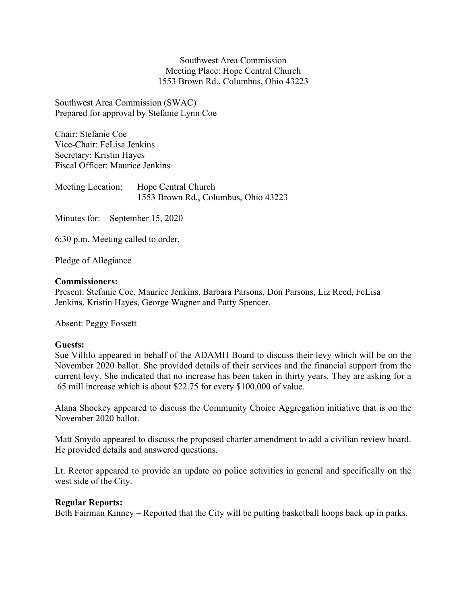Southwest Area Commission Meeting Place: Hope Central Church 1553 Brown Rd., Columbus, Ohio 43223

Southwest Area Commission (SWAC) Prepared for approval by Stefanie Lynn Coe

Chair: Stefanie Coe Vice-Chair: FeLisa Jenkins Secretary: Kristin Hayes Fiscal Officer: Maurice Jenkins

Meeting Location: Hope Central Church 1553 Brown Rd., Columbus, Ohio 43223

Minutes for: September 15, 2020

6:30 p.m. Meeting called to order.

Pledge of Allegiance

## Commissioners:

Present: Stefanie Coe, Maurice Jenkins, Barbara Parsons, Don Parsons, Liz Reed, FeLisa Jenkins, Kristin Hayes, George Wagner and Patty Spencer.

Absent: Peggy Fossett

# Guests:

Sue Villilo appeared in behalf of the ADAMH Board to discuss their levy which will be on the November 2020 ballot. She provided details of their services and the financial support from the current levy. She indicated that no increase has been taken in thirty years. They are asking for a .65 mill increase which is about \$22.75 for every \$100,000 of value.

Alana Shockey appeared to discuss the Community Choice Aggregation initiative that is on the November 2020 ballot.

Matt Smydo appeared to discuss the proposed charter amendment to add a civilian review board. He provided details and answered questions.

Lt. Rector appeared to provide an update on police activities in general and specifically on the west side of the City.

#### Regular Reports:

Beth Fairman Kinney – Reported that the City will be putting basketball hoops back up in parks.